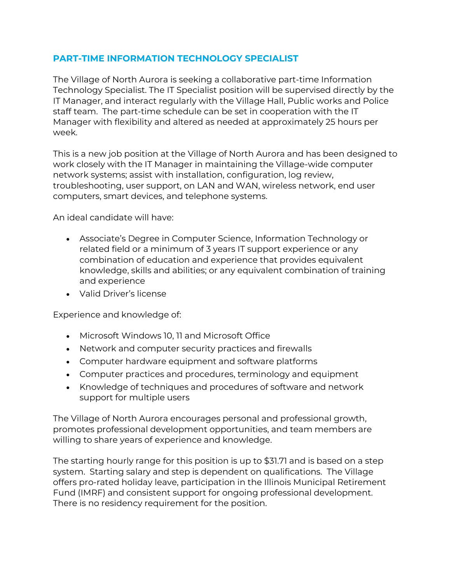## **PART-TIME INFORMATION TECHNOLOGY SPECIALIST**

The Village of North Aurora is seeking a collaborative part-time Information Technology Specialist. The IT Specialist position will be supervised directly by the IT Manager, and interact regularly with the Village Hall, Public works and Police staff team. The part-time schedule can be set in cooperation with the IT Manager with flexibility and altered as needed at approximately 25 hours per week.

This is a new job position at the Village of North Aurora and has been designed to work closely with the IT Manager in maintaining the Village-wide computer network systems; assist with installation, configuration, log review, troubleshooting, user support, on LAN and WAN, wireless network, end user computers, smart devices, and telephone systems.

An ideal candidate will have:

- Associate's Degree in Computer Science, Information Technology or related field or a minimum of 3 years IT support experience or any combination of education and experience that provides equivalent knowledge, skills and abilities; or any equivalent combination of training and experience
- Valid Driver's license

Experience and knowledge of:

- Microsoft Windows 10, 11 and Microsoft Office
- Network and computer security practices and firewalls
- Computer hardware equipment and software platforms
- Computer practices and procedures, terminology and equipment
- Knowledge of techniques and procedures of software and network support for multiple users

The Village of North Aurora encourages personal and professional growth, promotes professional development opportunities, and team members are willing to share years of experience and knowledge.

The starting hourly range for this position is up to \$31.71 and is based on a step system. Starting salary and step is dependent on qualifications. The Village offers pro-rated holiday leave, participation in the Illinois Municipal Retirement Fund (IMRF) and consistent support for ongoing professional development. There is no residency requirement for the position.